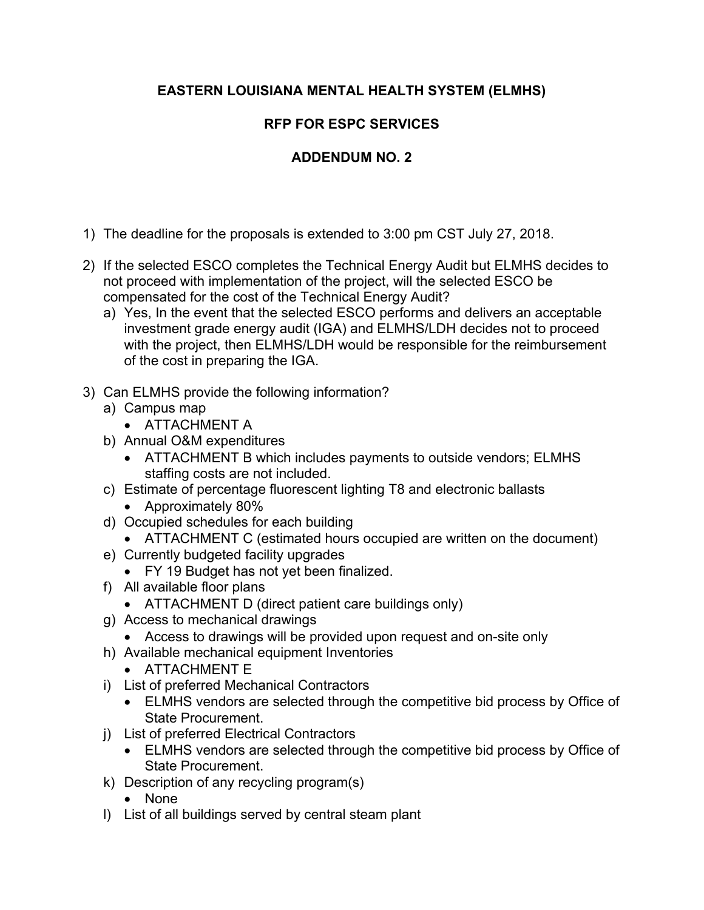## **EASTERN LOUISIANA MENTAL HEALTH SYSTEM (ELMHS)**

## **RFP FOR ESPC SERVICES**

## **ADDENDUM NO. 2**

- 1) The deadline for the proposals is extended to 3:00 pm CST July 27, 2018.
- 2) If the selected ESCO completes the Technical Energy Audit but ELMHS decides to not proceed with implementation of the project, will the selected ESCO be compensated for the cost of the Technical Energy Audit?
	- a) Yes, In the event that the selected ESCO performs and delivers an acceptable investment grade energy audit (IGA) and ELMHS/LDH decides not to proceed with the project, then ELMHS/LDH would be responsible for the reimbursement of the cost in preparing the IGA.
- 3) Can ELMHS provide the following information?
	- a) Campus map
		- ATTACHMENT A
	- b) Annual O&M expenditures
		- ATTACHMENT B which includes payments to outside vendors; ELMHS staffing costs are not included.
	- c) Estimate of percentage fluorescent lighting T8 and electronic ballasts
		- Approximately 80%
	- d) Occupied schedules for each building
		- ATTACHMENT C (estimated hours occupied are written on the document)
	- e) Currently budgeted facility upgrades
		- FY 19 Budget has not yet been finalized.
	- f) All available floor plans
		- ATTACHMENT D (direct patient care buildings only)
	- g) Access to mechanical drawings
		- Access to drawings will be provided upon request and on-site only
	- h) Available mechanical equipment Inventories
		- ATTACHMENT E
	- i) List of preferred Mechanical Contractors
		- ELMHS vendors are selected through the competitive bid process by Office of State Procurement.
	- j) List of preferred Electrical Contractors
		- ELMHS vendors are selected through the competitive bid process by Office of State Procurement.
	- k) Description of any recycling program(s)
		- None
	- l) List of all buildings served by central steam plant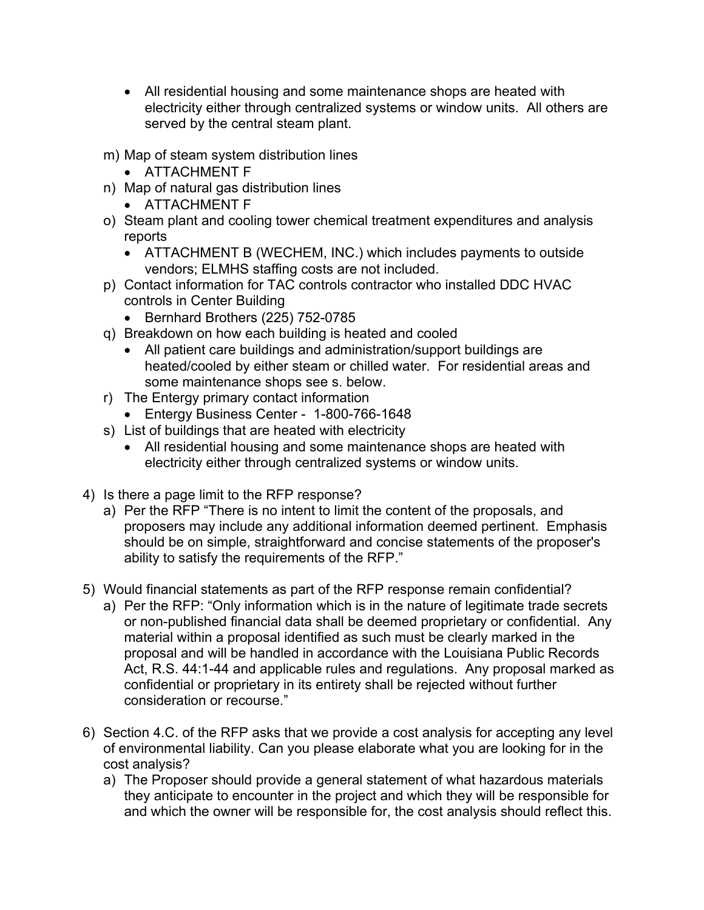- All residential housing and some maintenance shops are heated with electricity either through centralized systems or window units. All others are served by the central steam plant.
- m) Map of steam system distribution lines
	- ATTACHMENT F
- n) Map of natural gas distribution lines
	- ATTACHMENT F
- o) Steam plant and cooling tower chemical treatment expenditures and analysis reports
	- ATTACHMENT B (WECHEM, INC.) which includes payments to outside vendors; ELMHS staffing costs are not included.
- p) Contact information for TAC controls contractor who installed DDC HVAC controls in Center Building
	- Bernhard Brothers (225) 752-0785
- q) Breakdown on how each building is heated and cooled
	- All patient care buildings and administration/support buildings are heated/cooled by either steam or chilled water. For residential areas and some maintenance shops see s. below.
- r) The Entergy primary contact information
	- Entergy Business Center 1-800-766-1648
- s) List of buildings that are heated with electricity
	- All residential housing and some maintenance shops are heated with electricity either through centralized systems or window units.
- 4) Is there a page limit to the RFP response?
	- a) Per the RFP "There is no intent to limit the content of the proposals, and proposers may include any additional information deemed pertinent. Emphasis should be on simple, straightforward and concise statements of the proposer's ability to satisfy the requirements of the RFP."
- 5) Would financial statements as part of the RFP response remain confidential?
	- a) Per the RFP: "Only information which is in the nature of legitimate trade secrets or non-published financial data shall be deemed proprietary or confidential. Any material within a proposal identified as such must be clearly marked in the proposal and will be handled in accordance with the Louisiana Public Records Act, R.S. 44:1-44 and applicable rules and regulations. Any proposal marked as confidential or proprietary in its entirety shall be rejected without further consideration or recourse."
- 6) Section 4.C. of the RFP asks that we provide a cost analysis for accepting any level of environmental liability. Can you please elaborate what you are looking for in the cost analysis?
	- a) The Proposer should provide a general statement of what hazardous materials they anticipate to encounter in the project and which they will be responsible for and which the owner will be responsible for, the cost analysis should reflect this.